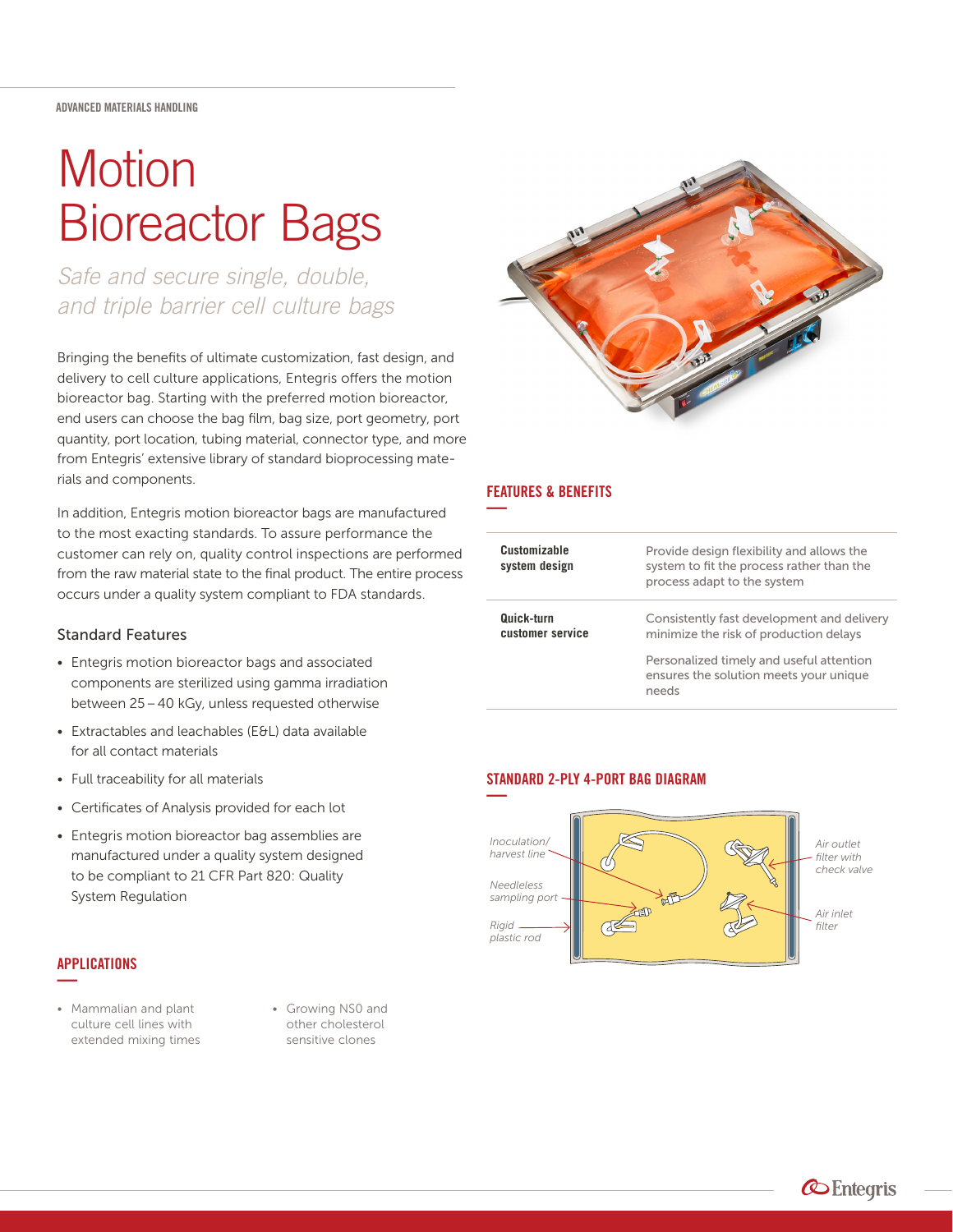#### ADVANCED MATERIALS HANDLING

# **Motion** Bioreactor Bags

*Safe and secure single, double, and triple barrier cell culture bags*

Bringing the benefits of ultimate customization, fast design, and delivery to cell culture applications, Entegris offers the motion bioreactor bag. Starting with the preferred motion bioreactor, end users can choose the bag film, bag size, port geometry, port quantity, port location, tubing material, connector type, and more from Entegris' extensive library of standard bioprocessing materials and components.

In addition, Entegris motion bioreactor bags are manufactured to the most exacting standards. To assure performance the customer can rely on, quality control inspections are performed from the raw material state to the final product. The entire process occurs under a quality system compliant to FDA standards.

### Standard Features

- Entegris motion bioreactor bags and associated components are sterilized using gamma irradiation between 25 – 40 kGy, unless requested otherwise
- Extractables and leachables (E&L) data available for all contact materials
- Full traceability for all materials
- Certificates of Analysis provided for each lot
- Entegris motion bioreactor bag assemblies are manufactured under a quality system designed to be compliant to 21 CFR Part 820: Quality System Regulation

#### APPLICATIONS **—**

- Mammalian and plant culture cell lines with extended mixing times
- Growing NS0 and other cholesterol sensitive clones



#### FEATURES & BENEFITS **—**

| Customizable<br>system design  | Provide design flexibility and allows the<br>system to fit the process rather than the<br>process adapt to the system |
|--------------------------------|-----------------------------------------------------------------------------------------------------------------------|
| Quick-turn<br>customer service | Consistently fast development and delivery<br>minimize the risk of production delays                                  |
|                                | Personalized timely and useful attention<br>ensures the solution meets your unique<br>needs                           |

## STANDARD 2-PLY 4-PORT BAG DIAGRAM



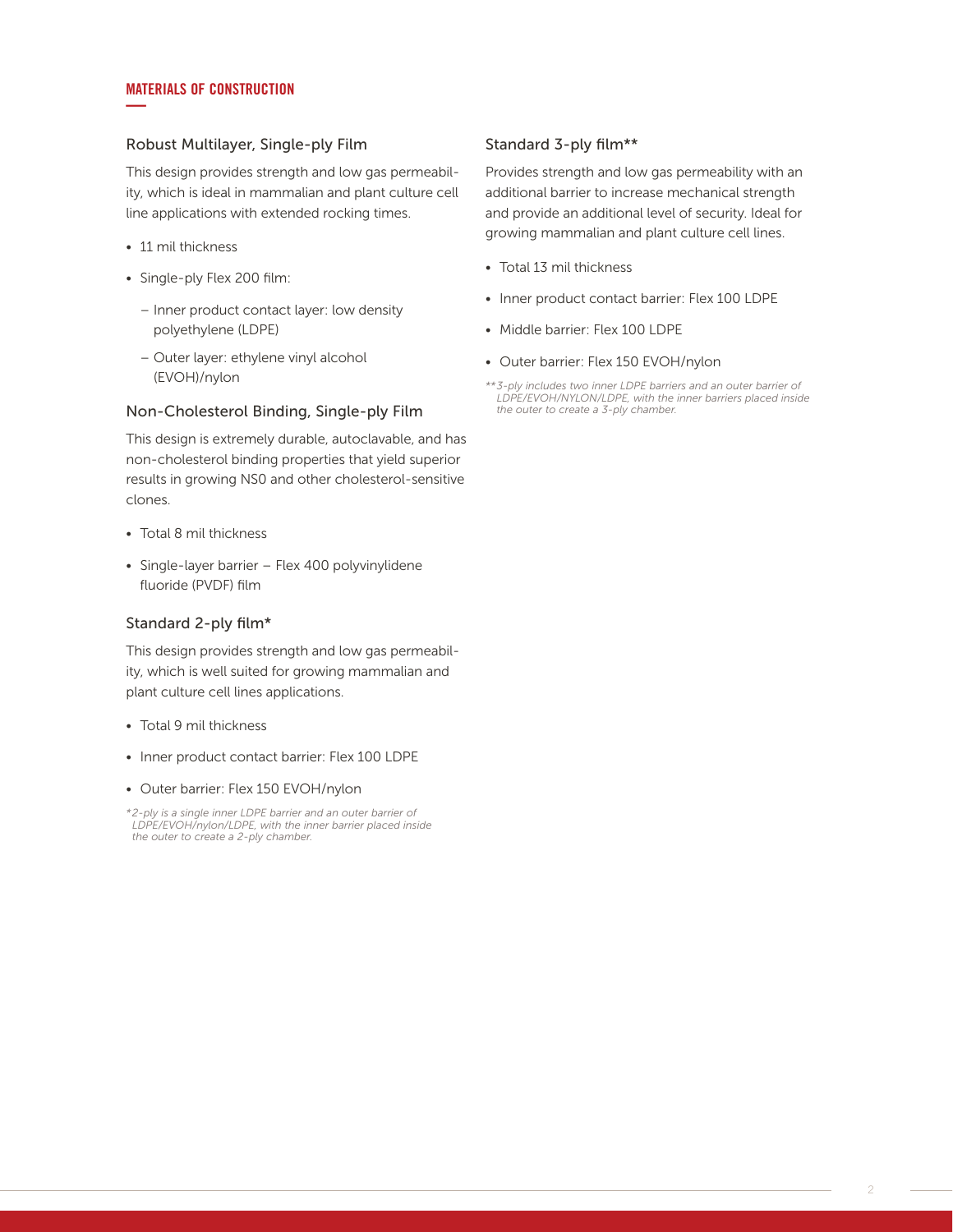#### MATERIALS OF CONSTRUCTION **—**

#### Robust Multilayer, Single-ply Film

This design provides strength and low gas permeability, which is ideal in mammalian and plant culture cell line applications with extended rocking times.

- 11 mil thickness
- Single-ply Flex 200 film:
	- Inner product contact layer: low density polyethylene (LDPE)
	- Outer layer: ethylene vinyl alcohol (EVOH)/nylon

#### Non-Cholesterol Binding, Single-ply Film

This design is extremely durable, autoclavable, and has non-cholesterol binding properties that yield superior results in growing NS0 and other cholesterol-sensitive clones.

- Total 8 mil thickness
- Single-layer barrier Flex 400 polyvinylidene fluoride (PVDF) film

#### Standard 2-ply film\*

This design provides strength and low gas permeability, which is well suited for growing mammalian and plant culture cell lines applications.

- Total 9 mil thickness
- Inner product contact barrier: Flex 100 LDPE
- Outer barrier: Flex 150 EVOH/nylon

*\* 2-ply is a single inner LDPE barrier and an outer barrier of LDPE/EVOH/nylon/LDPE, with the inner barrier placed inside the outer to create a 2-ply chamber.*

#### Standard 3-ply film\*\*

Provides strength and low gas permeability with an additional barrier to increase mechanical strength and provide an additional level of security. Ideal for growing mammalian and plant culture cell lines.

- Total 13 mil thickness
- Inner product contact barrier: Flex 100 LDPE
- Middle barrier: Flex 100 LDPF
- Outer barrier: Flex 150 EVOH/nylon
- *\*\* 3-ply includes two inner LDPE barriers and an outer barrier of LDPE/EVOH/NYLON/LDPE, with the inner barriers placed inside the outer to create a 3-ply chamber.*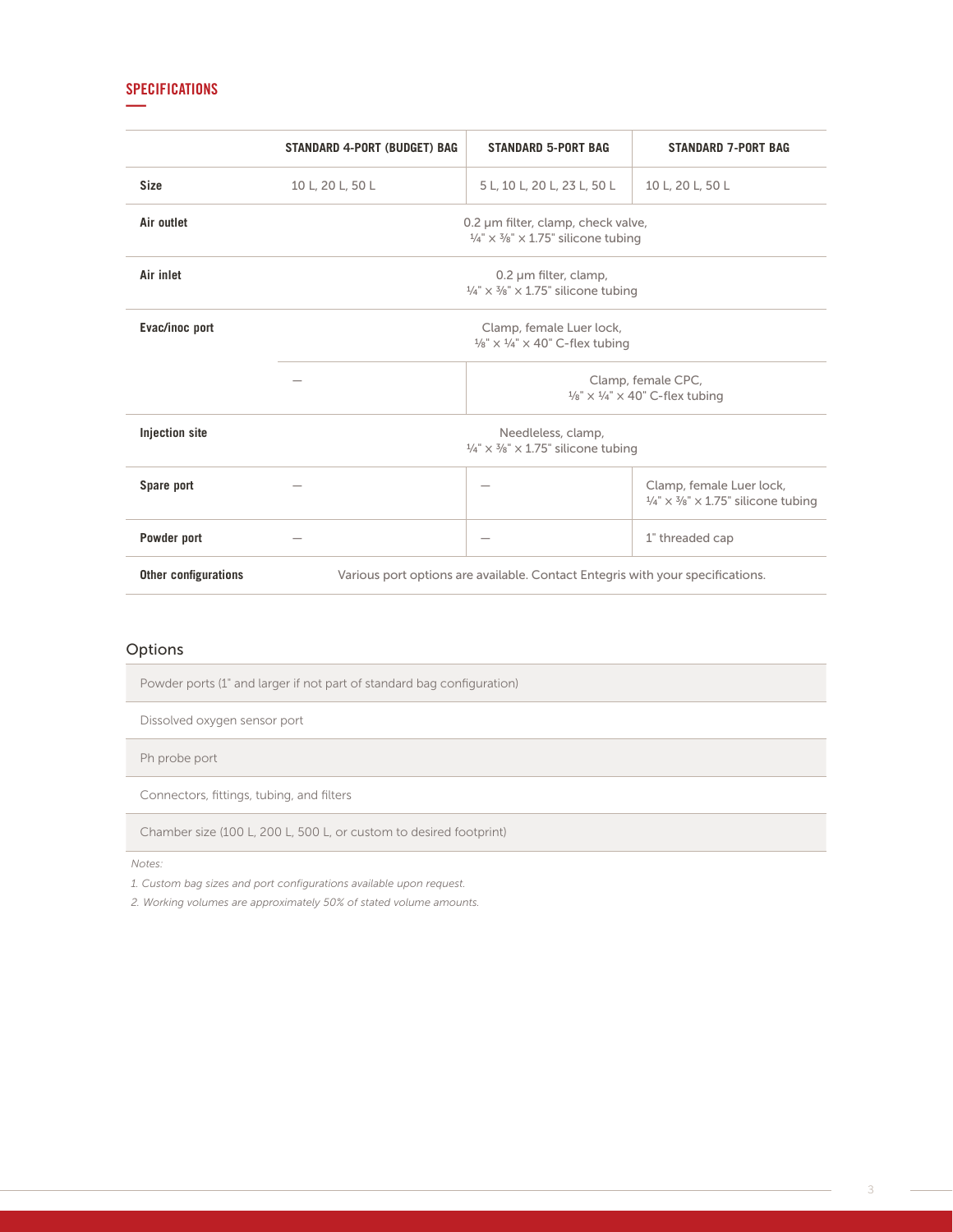#### SPECIFICATIONS **—**

|                             | <b>STANDARD 4-PORT (BUDGET) BAG</b>                                                                   | <b>STANDARD 5-PORT BAG</b>                                                                                    | <b>STANDARD 7-PORT BAG</b>                                                                          |  |
|-----------------------------|-------------------------------------------------------------------------------------------------------|---------------------------------------------------------------------------------------------------------------|-----------------------------------------------------------------------------------------------------|--|
| <b>Size</b>                 | 10 L, 20 L, 50 L                                                                                      | 5 L, 10 L, 20 L, 23 L, 50 L                                                                                   | 10 L, 20 L, 50 L                                                                                    |  |
| Air outlet                  |                                                                                                       | 0.2 µm filter, clamp, check valve,<br>$\frac{1}{4}$ " $\times$ $\frac{3}{8}$ " $\times$ 1.75" silicone tubing |                                                                                                     |  |
| Air inlet                   | $0.2 \mu m$ filter, clamp,<br>$\frac{1}{4}$ " $\times$ $\frac{3}{8}$ " $\times$ 1.75" silicone tubing |                                                                                                               |                                                                                                     |  |
| Evac/inoc port              | Clamp, female Luer lock,<br>$\frac{1}{8}$ " x $\frac{1}{4}$ " x 40" C-flex tubing                     |                                                                                                               |                                                                                                     |  |
|                             |                                                                                                       |                                                                                                               | Clamp, female CPC,<br>$\frac{1}{8}$ " x $\frac{1}{4}$ " x 40" C-flex tubing                         |  |
| <b>Injection site</b>       | Needleless, clamp,<br>$\frac{1}{4}$ " $\times$ $\frac{3}{8}$ " $\times$ 1.75" silicone tubing         |                                                                                                               |                                                                                                     |  |
| Spare port                  |                                                                                                       |                                                                                                               | Clamp, female Luer lock,<br>$\frac{1}{4}$ " $\times$ $\frac{3}{8}$ " $\times$ 1.75" silicone tubing |  |
| Powder port                 |                                                                                                       |                                                                                                               | 1" threaded cap                                                                                     |  |
| <b>Other configurations</b> |                                                                                                       | Various port options are available. Contact Entegris with your specifications.                                |                                                                                                     |  |

# Options

Powder ports (1" and larger if not part of standard bag configuration)

Dissolved oxygen sensor port

Ph probe port

Connectors, fittings, tubing, and filters

Chamber size (100 L, 200 L, 500 L, or custom to desired footprint)

*Notes:*

*1. Custom bag sizes and port configurations available upon request.*

*2. Working volumes are approximately 50% of stated volume amounts.*